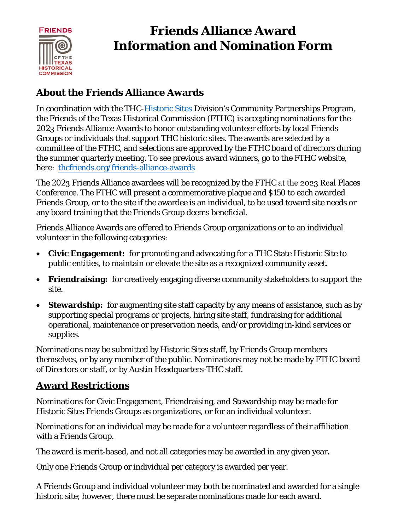

# **Friends Alliance Award Information and Nomination Form**

### **About the Friends Alliance Awards**

In coordination with the THC[-Historic Sites](https://www.thc.texas.gov/preserve/projects-and-programs/thc-state-historic-sites) Division's Community Partnerships Program, the Friends of the Texas Historical Commission (FTHC) is accepting nominations for the 2023 Friends Alliance Awards to honor outstanding volunteer efforts by local Friends Groups or individuals that support THC historic sites. The awards are selected by a committee of the FTHC, and selections are approved by the FTHC board of directors during the summer quarterly meeting. To see previous award winners, go to the FTHC website, here: [thcfriends.org/friends-alliance-awards](http://www.thcfriends.org/friends-alliance-awards)

The 2023 Friends Alliance awardees will be recognized by the FTHC at the 2023 Real Places Conference. The FTHC will present a commemorative plaque and \$150 to each awarded Friends Group, or to the site if the awardee is an individual, to be used toward site needs or any board training that the Friends Group deems beneficial.

Friends Alliance Awards are offered to Friends Group organizations or to an individual volunteer in the following categories:

- **Civic Engagement:** for promoting and advocating for a THC State Historic Site to public entities, to maintain or elevate the site as a recognized community asset.
- **Friendraising:** for creatively engaging diverse community stakeholders to support the site.
- **Stewardship:** for augmenting site staff capacity by any means of assistance, such as by supporting special programs or projects, hiring site staff, fundraising for additional operational, maintenance or preservation needs, and/or providing in-kind services or supplies.

Nominations may be submitted by Historic Sites staff, by Friends Group members themselves, or by any member of the public. Nominations may not be made by FTHC board of Directors or staff, or by Austin Headquarters-THC staff.

#### **Award Restrictions**

Nominations for Civic Engagement, Friendraising, and Stewardship may be made for Historic Sites Friends Groups as organizations, or for an individual volunteer.

Nominations for an individual may be made for a volunteer regardless of their affiliation with a Friends Group.

The award is merit-based, and not all categories may be awarded in any given year**.** 

Only one Friends Group or individual per category is awarded per year.

A Friends Group and individual volunteer may both be nominated and awarded for a single historic site; however, there must be separate nominations made for each award.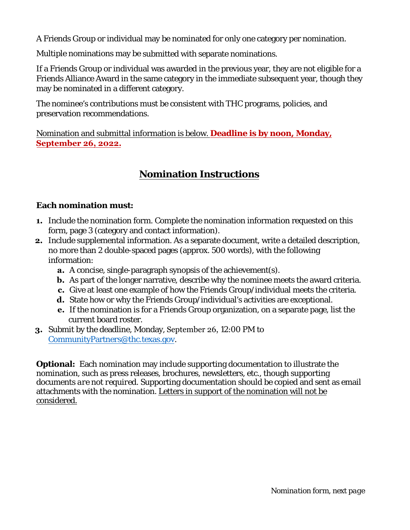A Friends Group or individual may be nominated for only one category per nomination.

Multiple nominations may be submitted with separate nominations.

If a Friends Group or individual was awarded in the previous year, they are not eligible for a Friends Alliance Award in the same category in the immediate subsequent year, though they may be nominated in a different category.

The nominee's contributions must be consistent with THC programs, policies, and preservation recommendations.

Nomination and submittal information is below. **Deadline is by noon, Monday, September 26, 2022.**

#### **Nomination Instructions**

#### **Each nomination must:**

- **1.** Include the nomination form. Complete the nomination information requested on this form, page 3 (category and contact information).
- **2.** Include supplemental information. As a separate document, write a detailed description, no more than 2 double-spaced pages (approx. 500 words), with the following information:
	- **a.** A concise, single-paragraph synopsis of the achievement(s).
	- **b.** As part of the longer narrative, describe why the nominee meets the award criteria.
	- **c.** Give at least one example of how the Friends Group/individual meets the criteria.
	- **d.** State how or why the Friends Group/individual's activities are exceptional.
	- **e.** If the nomination is for a Friends Group organization, on a separate page, list the current board roster.
- **3.** Submit by the deadline, Monday, September 26, 12:00 PM to [CommunityPartners@thc.texas.gov.](mailto:CommunityPartners@thc.texas.gov)

**Optional:** Each nomination may include supporting documentation to illustrate the nomination, such as press releases, brochures, newsletters, etc., though supporting documents *are not required*. Supporting documentation should be copied and sent as email attachments with the nomination. Letters in support of the nomination will not be considered.